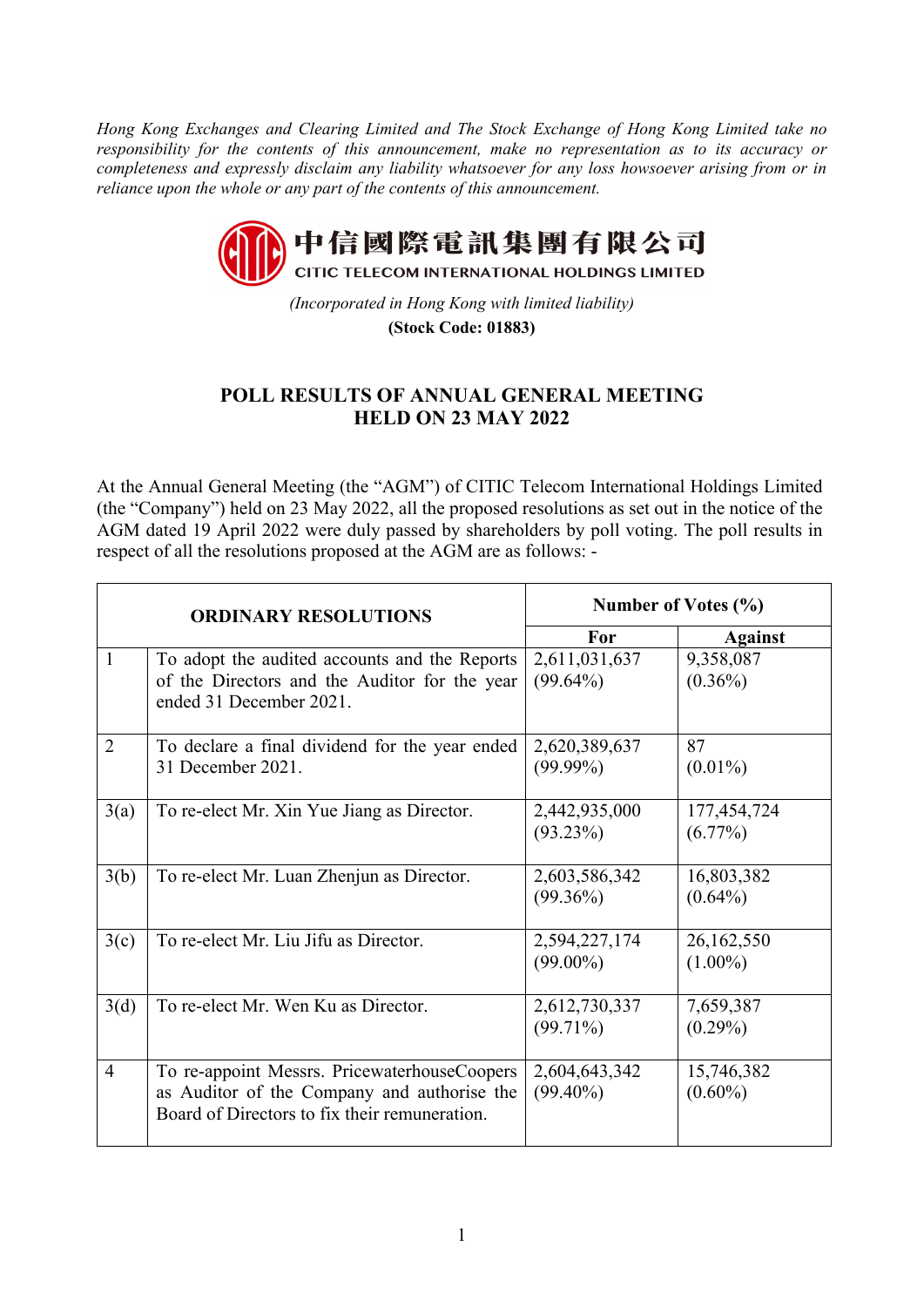*Hong Kong Exchanges and Clearing Limited and The Stock Exchange of Hong Kong Limited take no responsibility for the contents of this announcement, make no representation as to its accuracy or completeness and expressly disclaim any liability whatsoever for any loss howsoever arising from or in reliance upon the whole or any part of the contents of this announcement.* 



*(Incorporated in Hong Kong with limited liability)*  **(Stock Code: 01883)**

## **POLL RESULTS OF ANNUAL GENERAL MEETING HELD ON 23 MAY 2022**

At the Annual General Meeting (the "AGM") of CITIC Telecom International Holdings Limited (the "Company") held on 23 May 2022, all the proposed resolutions as set out in the notice of the AGM dated 19 April 2022 were duly passed by shareholders by poll voting. The poll results in respect of all the resolutions proposed at the AGM are as follows: -

| <b>ORDINARY RESOLUTIONS</b> |                                                                                                                                              | Number of Votes (%)          |                           |
|-----------------------------|----------------------------------------------------------------------------------------------------------------------------------------------|------------------------------|---------------------------|
|                             |                                                                                                                                              | For                          | <b>Against</b>            |
| 1                           | To adopt the audited accounts and the Reports<br>of the Directors and the Auditor for the year<br>ended 31 December 2021.                    | 2,611,031,637<br>$(99.64\%)$ | 9,358,087<br>$(0.36\%)$   |
| $\overline{2}$              | To declare a final dividend for the year ended<br>31 December 2021.                                                                          | 2,620,389,637<br>$(99.99\%)$ | 87<br>$(0.01\%)$          |
| 3(a)                        | To re-elect Mr. Xin Yue Jiang as Director.                                                                                                   | 2,442,935,000<br>$(93.23\%)$ | 177,454,724<br>$(6.77\%)$ |
| 3(b)                        | To re-elect Mr. Luan Zhenjun as Director.                                                                                                    | 2,603,586,342<br>$(99.36\%)$ | 16,803,382<br>$(0.64\%)$  |
| 3(c)                        | To re-elect Mr. Liu Jifu as Director.                                                                                                        | 2,594,227,174<br>$(99.00\%)$ | 26,162,550<br>$(1.00\%)$  |
| 3(d)                        | To re-elect Mr. Wen Ku as Director.                                                                                                          | 2,612,730,337<br>$(99.71\%)$ | 7,659,387<br>$(0.29\%)$   |
| $\overline{4}$              | To re-appoint Messrs. PricewaterhouseCoopers<br>as Auditor of the Company and authorise the<br>Board of Directors to fix their remuneration. | 2,604,643,342<br>$(99.40\%)$ | 15,746,382<br>$(0.60\%)$  |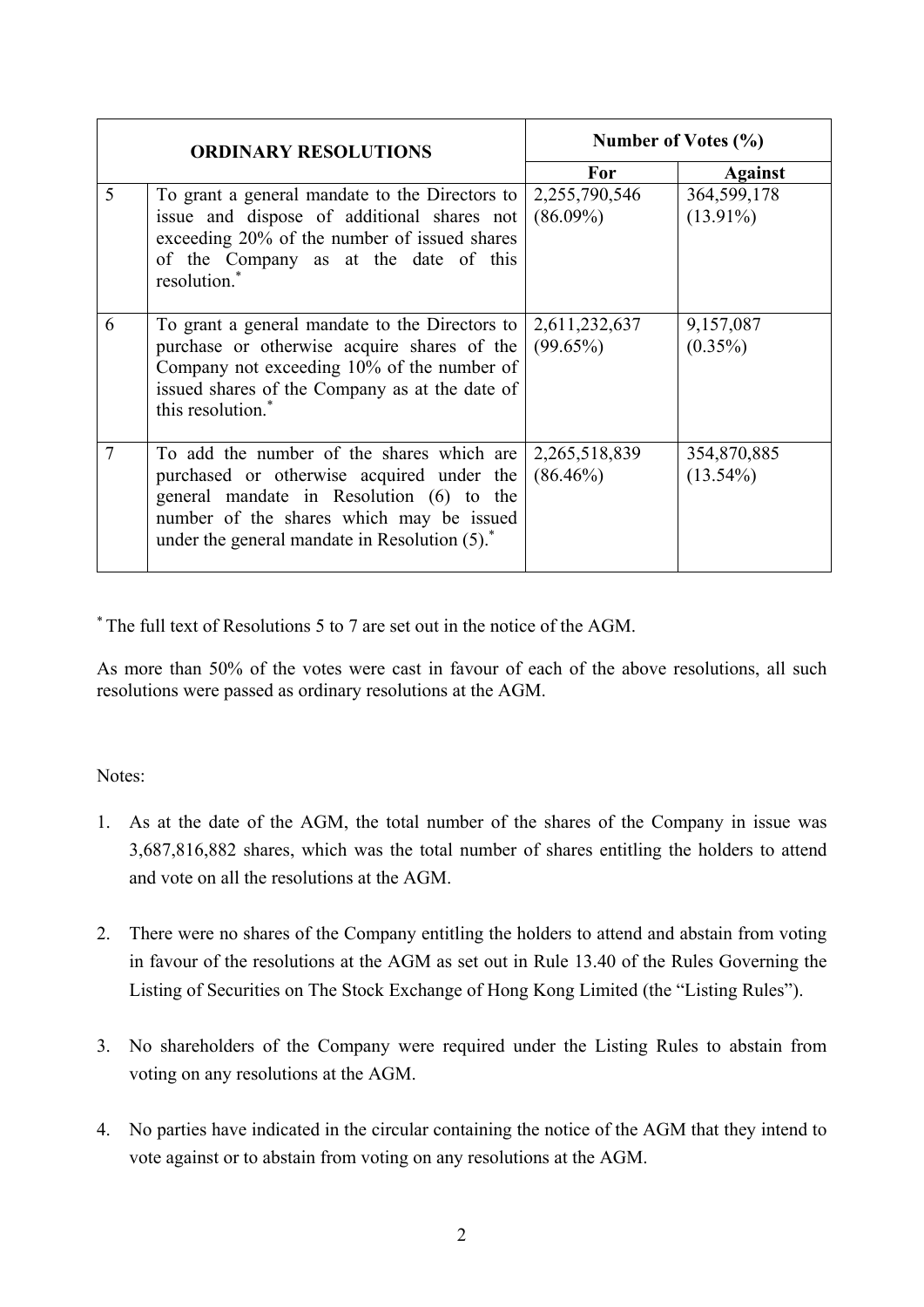| <b>ORDINARY RESOLUTIONS</b> |                                                                                                                                                                                                                                             | Number of Votes $(\% )$      |                            |
|-----------------------------|---------------------------------------------------------------------------------------------------------------------------------------------------------------------------------------------------------------------------------------------|------------------------------|----------------------------|
|                             |                                                                                                                                                                                                                                             | <b>For</b>                   | <b>Against</b>             |
| 5                           | To grant a general mandate to the Directors to<br>issue and dispose of additional shares not<br>exceeding 20% of the number of issued shares<br>of the Company as at the date of this<br>resolution. <sup>*</sup>                           | 2,255,790,546<br>$(86.09\%)$ | 364,599,178<br>$(13.91\%)$ |
| 6                           | To grant a general mandate to the Directors to<br>purchase or otherwise acquire shares of the<br>Company not exceeding 10% of the number of<br>issued shares of the Company as at the date of<br>this resolution. <sup>*</sup>              | 2,611,232,637<br>$(99.65\%)$ | 9,157,087<br>$(0.35\%)$    |
|                             | To add the number of the shares which are<br>purchased or otherwise acquired under the<br>general mandate in Resolution (6) to the<br>number of the shares which may be issued<br>under the general mandate in Resolution (5). <sup>*</sup> | 2,265,518,839<br>$(86.46\%)$ | 354,870,885<br>$(13.54\%)$ |

\* The full text of Resolutions 5 to 7 are set out in the notice of the AGM.

As more than 50% of the votes were cast in favour of each of the above resolutions, all such resolutions were passed as ordinary resolutions at the AGM.

Notes:

- 1. As at the date of the AGM, the total number of the shares of the Company in issue was 3,687,816,882 shares, which was the total number of shares entitling the holders to attend and vote on all the resolutions at the AGM.
- 2. There were no shares of the Company entitling the holders to attend and abstain from voting in favour of the resolutions at the AGM as set out in Rule 13.40 of the Rules Governing the Listing of Securities on The Stock Exchange of Hong Kong Limited (the "Listing Rules").
- 3. No shareholders of the Company were required under the Listing Rules to abstain from voting on any resolutions at the AGM.
- 4. No parties have indicated in the circular containing the notice of the AGM that they intend to vote against or to abstain from voting on any resolutions at the AGM.